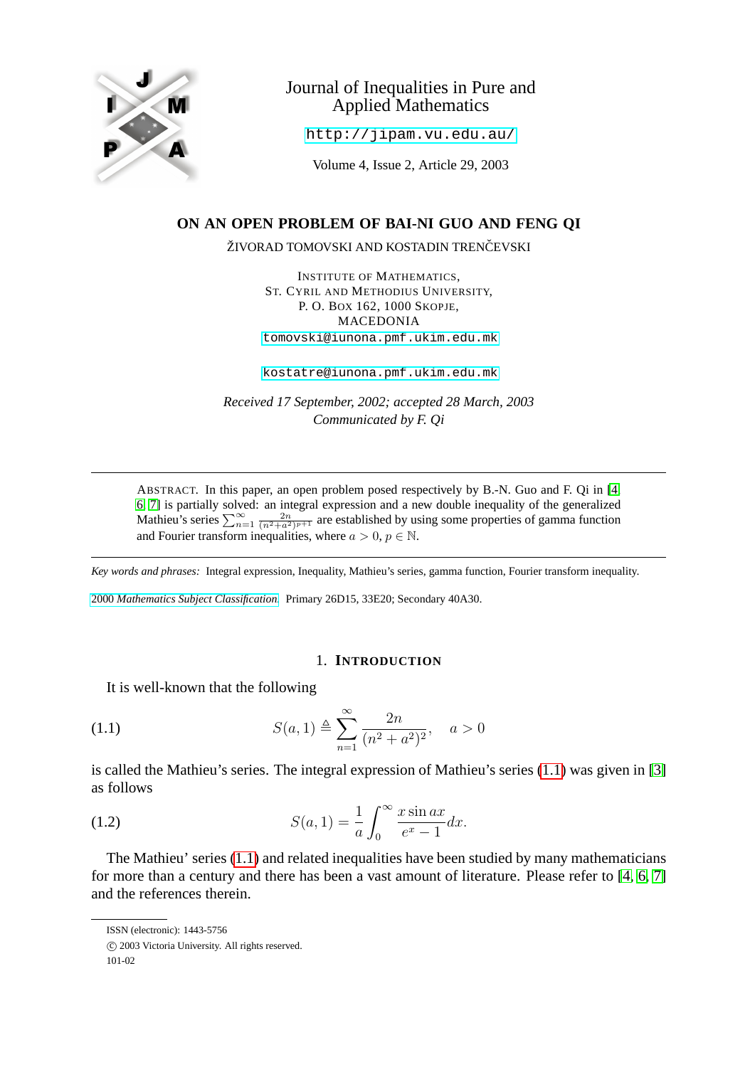

# Journal of Inequalities in Pure and Applied Mathematics

<http://jipam.vu.edu.au/>

Volume 4, Issue 2, Article 29, 2003

## **ON AN OPEN PROBLEM OF BAI-NI GUO AND FENG QI**

ŽIVORAD TOMOVSKI AND KOSTADIN TRENČEVSKI

INSTITUTE OF MATHEMATICS, ST. CYRIL AND METHODIUS UNIVERSITY, P. O. BOX 162, 1000 SKOPJE, MACEDONIA [tomovski@iunona.pmf.ukim.edu.mk](mailto:tomovski@iunona.pmf.ukim.edu.mk)

[kostatre@iunona.pmf.ukim.edu.mk](mailto:kostatre@iunona.pmf.ukim.edu.mk)

*Received 17 September, 2002; accepted 28 March, 2003 Communicated by F. Qi*

ABSTRACT. In this paper, an open problem posed respectively by B.-N. Guo and F. Qi in [\[4,](#page-6-0) [6,](#page-6-1) [7\]](#page-6-2) is partially solved: an integral expression and a new double inequality of the generalized Mathieu's series  $\sum_{n=1}^{\infty} \frac{2n}{(n^2+a^2)^{p+1}}$  are established by using some properties of gamma function and Fourier transform inequalities, where  $a > 0$ ,  $p \in \mathbb{N}$ .

*Key words and phrases:* Integral expression, Inequality, Mathieu's series, gamma function, Fourier transform inequality.

2000 *[Mathematics Subject Classification.](http://www.ams.org/msc/)* Primary 26D15, 33E20; Secondary 40A30.

### <span id="page-0-0"></span>1. **INTRODUCTION**

It is well-known that the following

(1.1) 
$$
S(a, 1) \triangleq \sum_{n=1}^{\infty} \frac{2n}{(n^2 + a^2)^2}, \quad a > 0
$$

<span id="page-0-1"></span>is called the Mathieu's series. The integral expression of Mathieu's series [\(1.1\)](#page-0-0) was given in [\[3\]](#page-6-3) as follows

(1.2) 
$$
S(a, 1) = \frac{1}{a} \int_0^\infty \frac{x \sin ax}{e^x - 1} dx.
$$

The Mathieu' series [\(1.1\)](#page-0-0) and related inequalities have been studied by many mathematicians for more than a century and there has been a vast amount of literature. Please refer to [\[4,](#page-6-0) [6,](#page-6-1) [7\]](#page-6-2) and the references therein.

ISSN (electronic): 1443-5756

c 2003 Victoria University. All rights reserved.

<sup>101-02</sup>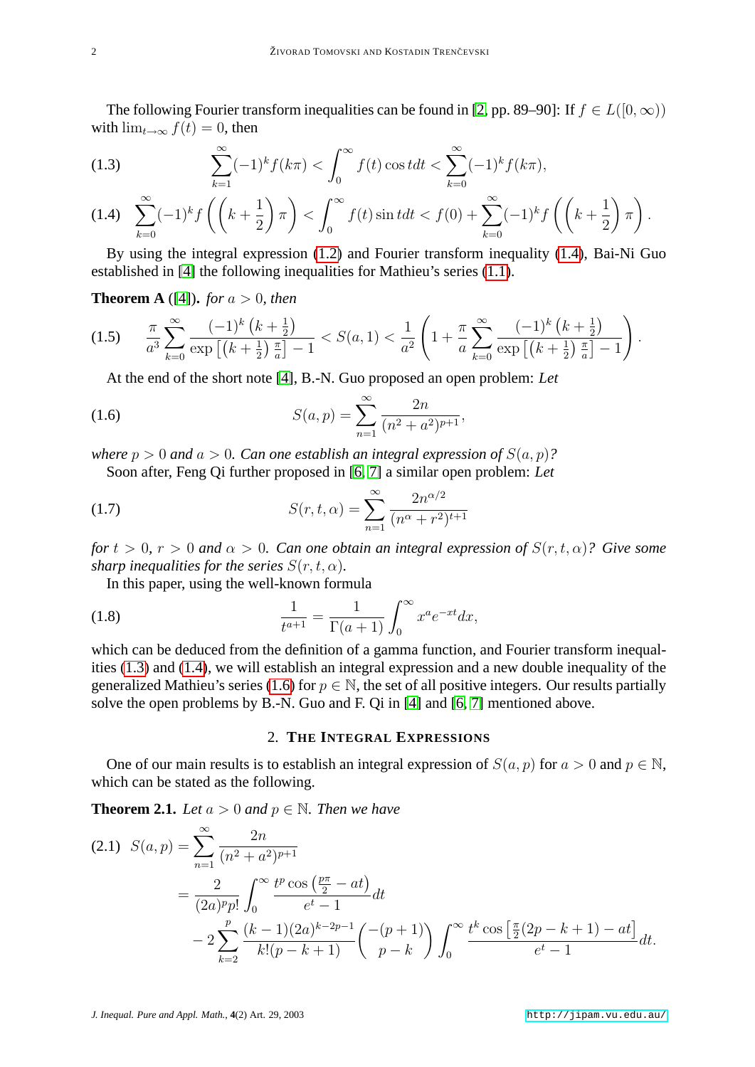The following Fourier transform inequalities can be found in [\[2,](#page-6-4) pp. 89–90]: If  $f \in L([0,\infty))$ with  $\lim_{t\to\infty} f(t) = 0$ , then

<span id="page-1-1"></span>(1.3) 
$$
\sum_{k=1}^{\infty} (-1)^k f(k\pi) < \int_0^{\infty} f(t) \cos t dt < \sum_{k=0}^{\infty} (-1)^k f(k\pi),
$$

<span id="page-1-0"></span>
$$
(1.4) \quad \sum_{k=0}^{\infty} (-1)^k f\left(\left(k+\frac{1}{2}\right)\pi\right) < \int_0^{\infty} f(t) \sin t \, dt < f(0) + \sum_{k=0}^{\infty} (-1)^k f\left(\left(k+\frac{1}{2}\right)\pi\right).
$$

By using the integral expression [\(1.2\)](#page-0-1) and Fourier transform inequality [\(1.4\)](#page-1-0), Bai-Ni Guo established in [\[4\]](#page-6-0) the following inequalities for Mathieu's series [\(1.1\)](#page-0-0).

**Theorem A** ([\[4\]](#page-6-0)), *for*  $a > 0$ *, then* 

$$
(1.5) \qquad \frac{\pi}{a^3} \sum_{k=0}^{\infty} \frac{(-1)^k \left(k + \frac{1}{2}\right)}{\exp\left[\left(k + \frac{1}{2}\right) \frac{\pi}{a}\right] - 1} < S(a, 1) < \frac{1}{a^2} \left(1 + \frac{\pi}{a} \sum_{k=0}^{\infty} \frac{(-1)^k \left(k + \frac{1}{2}\right)}{\exp\left[\left(k + \frac{1}{2}\right) \frac{\pi}{a}\right] - 1}\right).
$$

<span id="page-1-2"></span>At the end of the short note [\[4\]](#page-6-0), B.-N. Guo proposed an open problem: *Let*

(1.6) 
$$
S(a,p) = \sum_{n=1}^{\infty} \frac{2n}{(n^2 + a^2)^{p+1}},
$$

*where*  $p > 0$  *and*  $a > 0$ *. Can one establish an integral expression of*  $S(a, p)$ ?

Soon after, Feng Qi further proposed in [\[6,](#page-6-1) [7\]](#page-6-2) a similar open problem: *Let*

(1.7) 
$$
S(r, t, \alpha) = \sum_{n=1}^{\infty} \frac{2n^{\alpha/2}}{(n^{\alpha} + r^2)^{t+1}}
$$

*for*  $t > 0$ ,  $r > 0$  *and*  $\alpha > 0$ *. Can one obtain an integral expression of*  $S(r, t, \alpha)$ *? Give some sharp inequalities for the series*  $S(r, t, \alpha)$ *.* 

In this paper, using the well-known formula

(1.8) 
$$
\frac{1}{t^{a+1}} = \frac{1}{\Gamma(a+1)} \int_0^\infty x^a e^{-xt} dx,
$$

which can be deduced from the definition of a gamma function, and Fourier transform inequalities [\(1.3\)](#page-1-1) and [\(1.4\)](#page-1-0), we will establish an integral expression and a new double inequality of the generalized Mathieu's series [\(1.6\)](#page-1-2) for  $p \in \mathbb{N}$ , the set of all positive integers. Our results partially solve the open problems by B.-N. Guo and F. Qi in [\[4\]](#page-6-0) and [\[6,](#page-6-1) [7\]](#page-6-2) mentioned above.

### 2. **THE INTEGRAL EXPRESSIONS**

One of our main results is to establish an integral expression of  $S(a, p)$  for  $a > 0$  and  $p \in \mathbb{N}$ , which can be stated as the following.

**Theorem 2.1.** *Let*  $a > 0$  *and*  $p \in \mathbb{N}$ *. Then we have* 

$$
(2.1) \quad S(a,p) = \sum_{n=1}^{\infty} \frac{2n}{(n^2 + a^2)^{p+1}}
$$
  
= 
$$
\frac{2}{(2a)^p p!} \int_0^{\infty} \frac{t^p \cos(\frac{p\pi}{2} - at)}{e^t - 1} dt
$$
  
- 
$$
2 \sum_{k=2}^p \frac{(k-1)(2a)^{k-2p-1}}{k!(p-k+1)} \left(\frac{-(p+1)}{p-k}\right) \int_0^{\infty} \frac{t^k \cos\left[\frac{\pi}{2}(2p-k+1) - at\right]}{e^t - 1} dt.
$$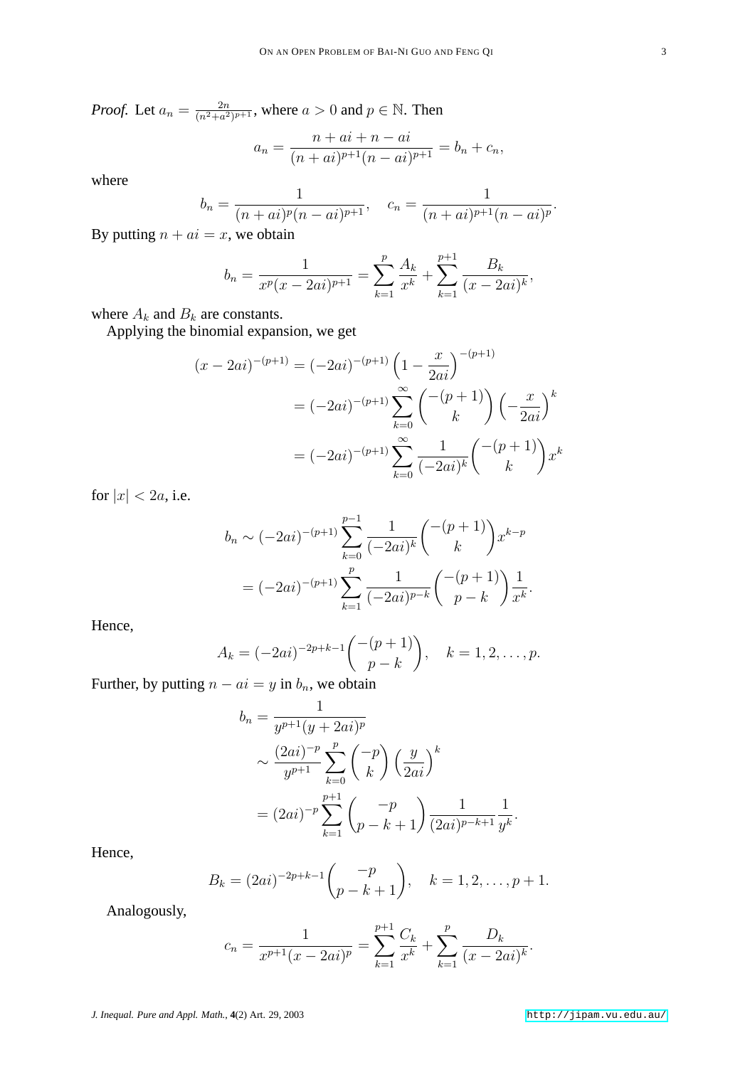*Proof.* Let  $a_n = \frac{2n}{(n^2 + a^2)}$  $\frac{2n}{(n^2+a^2)^{p+1}}$ , where  $a>0$  and  $p \in \mathbb{N}$ . Then  $n = \frac{1}{2}$ 

$$
a_n = \frac{n + ai + n - ai}{(n + ai)^{p+1}(n - ai)^{p+1}} = b_n + c_n,
$$

where

$$
b_n = \frac{1}{(n+ai)^p (n-ai)^{p+1}}, \quad c_n = \frac{1}{(n+ai)^{p+1} (n-ai)^p}.
$$

By putting  $n + ai = x$ , we obtain

$$
b_n = \frac{1}{x^p (x - 2ai)^{p+1}} = \sum_{k=1}^p \frac{A_k}{x^k} + \sum_{k=1}^{p+1} \frac{B_k}{(x - 2ai)^k},
$$

where  $A_k$  and  $B_k$  are constants.

Applying the binomial expansion, we get

$$
(x - 2ai)^{-(p+1)} = (-2ai)^{-(p+1)} \left(1 - \frac{x}{2ai}\right)^{-(p+1)}
$$

$$
= (-2ai)^{-(p+1)} \sum_{k=0}^{\infty} {\binom{-(p+1)}{k}} \left(-\frac{x}{2ai}\right)^k
$$

$$
= (-2ai)^{-(p+1)} \sum_{k=0}^{\infty} \frac{1}{(-2ai)^k} {\binom{-(p+1)}{k}} x^k
$$

for  $|x| < 2a$ , i.e.

$$
b_n \sim (-2ai)^{-(p+1)} \sum_{k=0}^{p-1} \frac{1}{(-2ai)^k} {\binom{-(p+1)}{k}} x^{k-p}
$$
  
=  $(-2ai)^{-(p+1)} \sum_{k=1}^p \frac{1}{(-2ai)^{p-k}} {\binom{-(p+1)}{p-k}} \frac{1}{x^k}.$ 

Hence,

$$
A_k = (-2ai)^{-2p+k-1} \binom{-(p+1)}{p-k}, \quad k = 1, 2, \dots, p.
$$

 $\overline{1}$ 

Further, by putting  $n - ai = y$  in  $b_n$ , we obtain

$$
b_n = \frac{1}{y^{p+1}(y+2ai)^p}
$$
  
\n
$$
\sim \frac{(2ai)^{-p}}{y^{p+1}} \sum_{k=0}^p {\binom{-p}{k}} \left(\frac{y}{2ai}\right)^k
$$
  
\n
$$
= (2ai)^{-p} \sum_{k=1}^{p+1} {\binom{-p}{p-k+1}} \frac{1}{(2ai)^{p-k+1}} \frac{1}{y^k}.
$$

Hence,

$$
B_k = (2ai)^{-2p+k-1} \binom{-p}{p-k+1}, \quad k = 1, 2, \dots, p+1.
$$

Analogously,

$$
c_n = \frac{1}{x^{p+1}(x - 2ai)^p} = \sum_{k=1}^{p+1} \frac{C_k}{x^k} + \sum_{k=1}^p \frac{D_k}{(x - 2ai)^k}.
$$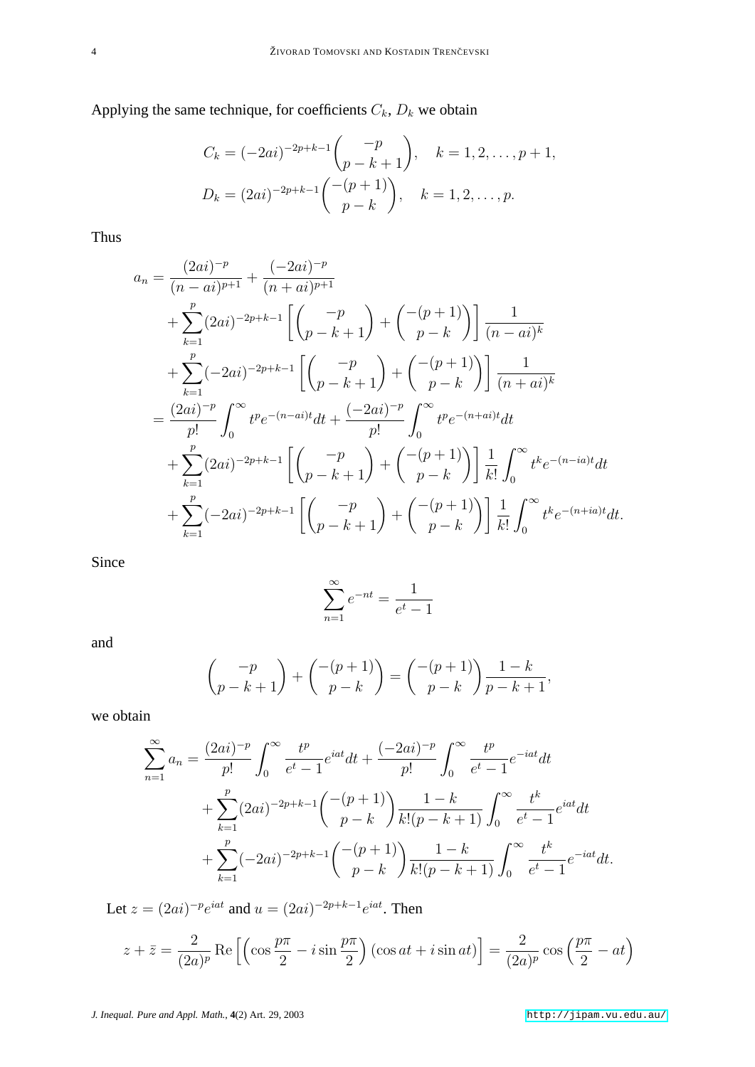Applying the same technique, for coefficients  $C_k$ ,  $D_k$  we obtain

$$
C_k = (-2ai)^{-2p+k-1} {p \choose p-k+1}, \quad k = 1, 2, \dots, p+1,
$$
  

$$
D_k = (2ai)^{-2p+k-1} {-(p+1) \choose p-k}, \quad k = 1, 2, \dots, p.
$$

Thus

$$
a_n = \frac{(2ai)^{-p}}{(n - ai)^{p+1}} + \frac{(-2ai)^{-p}}{(n + ai)^{p+1}}
$$
  
+ 
$$
\sum_{k=1}^p (2ai)^{-2p+k-1} \left[ \binom{-p}{p-k+1} + \binom{-(p+1)}{p-k} \right] \frac{1}{(n - ai)^k}
$$
  
+ 
$$
\sum_{k=1}^p (-2ai)^{-2p+k-1} \left[ \binom{-p}{p-k+1} + \binom{-(p+1)}{p-k} \right] \frac{1}{(n + ai)^k}
$$
  
= 
$$
\frac{(2ai)^{-p}}{p!} \int_0^\infty t^p e^{-(n-ai)t} dt + \frac{(-2ai)^{-p}}{p!} \int_0^\infty t^p e^{-(n+ai)t} dt
$$
  
+ 
$$
\sum_{k=1}^p (2ai)^{-2p+k-1} \left[ \binom{-p}{p-k+1} + \binom{-(p+1)}{p-k} \right] \frac{1}{k!} \int_0^\infty t^k e^{-(n-ia)t} dt
$$
  
+ 
$$
\sum_{k=1}^p (-2ai)^{-2p+k-1} \left[ \binom{-p}{p-k+1} + \binom{-(p+1)}{p-k} \right] \frac{1}{k!} \int_0^\infty t^k e^{-(n+ia)t} dt.
$$

Since

$$
\sum_{n=1}^{\infty} e^{-nt} = \frac{1}{e^t - 1}
$$

and

$$
\binom{-p}{p-k+1} + \binom{-(p+1)}{p-k} = \binom{-(p+1)}{p-k} \frac{1-k}{p-k+1},
$$

we obtain

$$
\sum_{n=1}^{\infty} a_n = \frac{(2ai)^{-p}}{p!} \int_0^{\infty} \frac{t^p}{e^t - 1} e^{iat} dt + \frac{(-2ai)^{-p}}{p!} \int_0^{\infty} \frac{t^p}{e^t - 1} e^{-iat} dt \n+ \sum_{k=1}^p (2ai)^{-2p+k-1} {\binom{-(p+1)}{p-k}} \frac{1-k}{k!(p-k+1)} \int_0^{\infty} \frac{t^k}{e^t - 1} e^{iat} dt \n+ \sum_{k=1}^p (-2ai)^{-2p+k-1} {\binom{-(p+1)}{p-k}} \frac{1-k}{k!(p-k+1)} \int_0^{\infty} \frac{t^k}{e^t - 1} e^{-iat} dt.
$$

Let  $z = (2ai)^{-p}e^{iat}$  and  $u = (2ai)^{-2p+k-1}e^{iat}$ . Then

$$
z + \bar{z} = \frac{2}{(2a)^p} \operatorname{Re} \left[ \left( \cos \frac{p\pi}{2} - i \sin \frac{p\pi}{2} \right) (\cos at + i \sin at) \right] = \frac{2}{(2a)^p} \cos \left( \frac{p\pi}{2} - at \right)
$$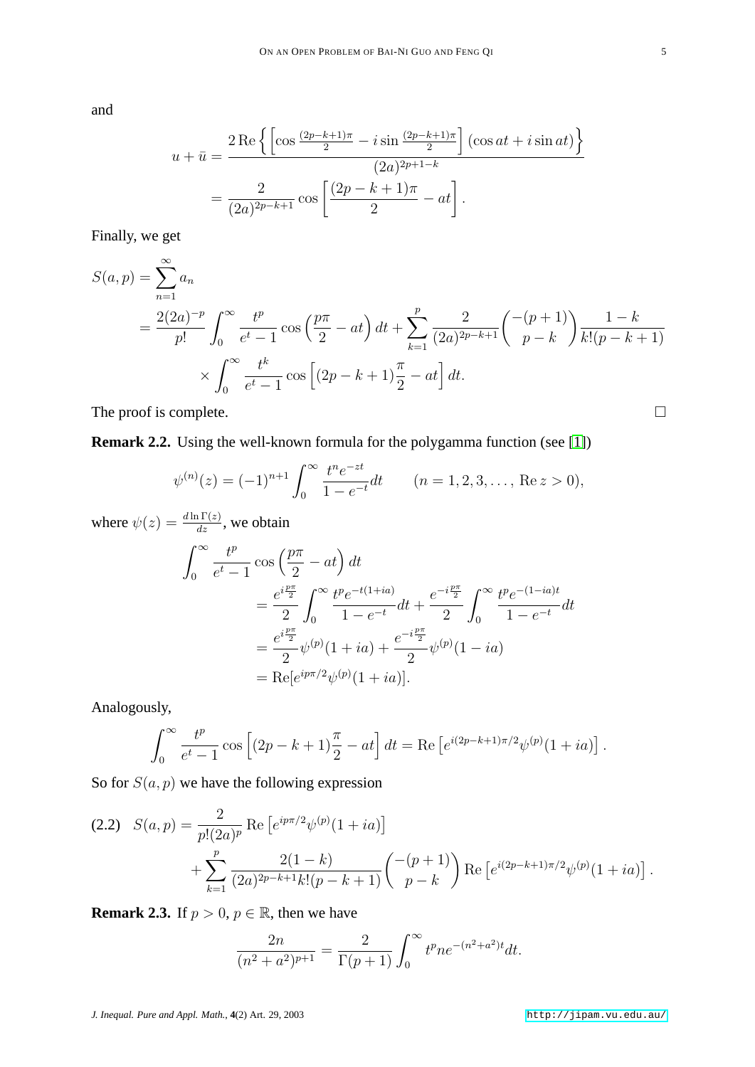and

$$
u + \bar{u} = \frac{2 \operatorname{Re} \left\{ \left[ \cos \frac{(2p-k+1)\pi}{2} - i \sin \frac{(2p-k+1)\pi}{2} \right] (\cos at + i \sin at) \right\}}{(2a)^{2p+1-k}}
$$

$$
= \frac{2}{(2a)^{2p-k+1}} \cos \left[ \frac{(2p-k+1)\pi}{2} - at \right].
$$

Finally, we get

$$
S(a, p) = \sum_{n=1}^{\infty} a_n
$$
  
=  $\frac{2(2a)^{-p}}{p!} \int_0^{\infty} \frac{t^p}{e^t - 1} \cos\left(\frac{p\pi}{2} - at\right) dt + \sum_{k=1}^p \frac{2}{(2a)^{2p-k+1}} \binom{-(p+1)}{p-k} \frac{1-k}{k!(p-k+1)}$   
 $\times \int_0^{\infty} \frac{t^k}{e^t - 1} \cos\left[(2p - k + 1)\frac{\pi}{2} - at\right] dt.$ 

The proof is complete.  $\Box$ 

**Remark 2.2.** Using the well-known formula for the polygamma function (see [\[1\]](#page-6-5))

$$
\psi^{(n)}(z) = (-1)^{n+1} \int_0^\infty \frac{t^n e^{-zt}}{1 - e^{-t}} dt \qquad (n = 1, 2, 3, \dots, \text{Re } z > 0),
$$

where  $\psi(z) = \frac{d \ln \Gamma(z)}{dz}$ , we obtain

$$
\int_0^\infty \frac{t^p}{e^t - 1} \cos\left(\frac{p\pi}{2} - at\right) dt
$$
  
=  $\frac{e^{i\frac{p\pi}{2}}}{2} \int_0^\infty \frac{t^p e^{-t(1+ia)}}{1 - e^{-t}} dt + \frac{e^{-i\frac{p\pi}{2}}}{2} \int_0^\infty \frac{t^p e^{-(1-ia)t}}{1 - e^{-t}} dt$   
=  $\frac{e^{i\frac{p\pi}{2}}}{2} \psi^{(p)}(1 + ia) + \frac{e^{-i\frac{p\pi}{2}}}{2} \psi^{(p)}(1 - ia)$   
=  $\text{Re}[e^{ip\pi/2}\psi^{(p)}(1 + ia)].$ 

Analogously,

$$
\int_0^\infty \frac{t^p}{e^t - 1} \cos \left[ (2p - k + 1) \frac{\pi}{2} - at \right] dt = \text{Re} \left[ e^{i(2p - k + 1)\pi/2} \psi^{(p)}(1 + ia) \right].
$$

So for  $S(a, p)$  we have the following expression

$$
(2.2) \quad S(a,p) = \frac{2}{p!(2a)^p} \operatorname{Re} \left[ e^{ip\pi/2} \psi^{(p)}(1+ia) \right] + \sum_{k=1}^p \frac{2(1-k)}{(2a)^{2p-k+1}k!(p-k+1)} \binom{-(p+1)}{p-k} \operatorname{Re} \left[ e^{i(2p-k+1)\pi/2} \psi^{(p)}(1+ia) \right].
$$

**Remark 2.3.** If  $p > 0$ ,  $p \in \mathbb{R}$ , then we have

$$
\frac{2n}{(n^2+a^2)^{p+1}} = \frac{2}{\Gamma(p+1)} \int_0^\infty t^p n e^{-(n^2+a^2)t} dt.
$$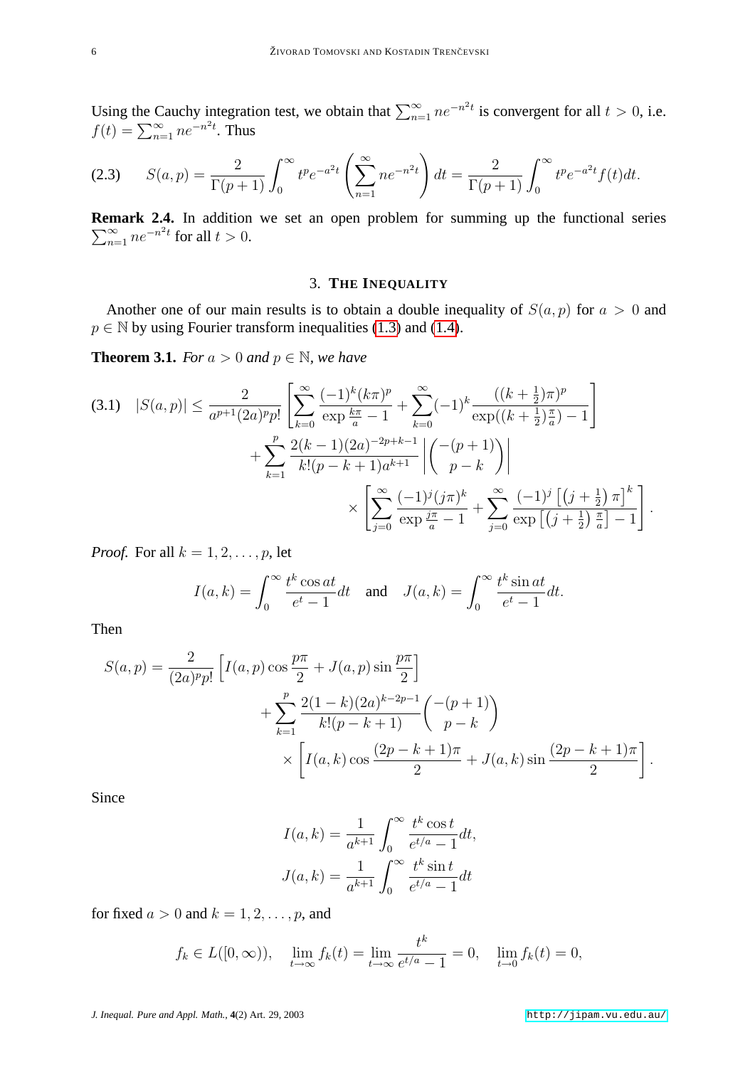Using the Cauchy integration test, we obtain that  $\sum_{n=1}^{\infty} ne^{-n^2t}$  is convergent for all  $t > 0$ , i.e.  $f(t) = \sum_{n=1}^{\infty} n e^{-n^2 t}$ . Thus

$$
(2.3) \qquad S(a,p) = \frac{2}{\Gamma(p+1)} \int_0^\infty t^p e^{-a^2 t} \left( \sum_{n=1}^\infty n e^{-n^2 t} \right) dt = \frac{2}{\Gamma(p+1)} \int_0^\infty t^p e^{-a^2 t} f(t) dt.
$$

**Remark 2.4.** In addition we set an open problem for summing up the functional series  $\sum_{n=1}^{\infty} ne^{-n^2t}$  for all  $t > 0$ .

### 3. **THE INEQUALITY**

Another one of our main results is to obtain a double inequality of  $S(a, p)$  for  $a > 0$  and  $p \in \mathbb{N}$  by using Fourier transform inequalities [\(1.3\)](#page-1-1) and [\(1.4\)](#page-1-0).

**Theorem 3.1.** *For*  $a > 0$  *and*  $p \in \mathbb{N}$ *, we have* 

$$
(3.1) \quad |S(a,p)| \leq \frac{2}{a^{p+1}(2a)^p p!} \left[ \sum_{k=0}^{\infty} \frac{(-1)^k (k\pi)^p}{\exp{\frac{k\pi}{a} - 1}} + \sum_{k=0}^{\infty} (-1)^k \frac{((k+\frac{1}{2})\pi)^p}{\exp((k+\frac{1}{2})\frac{\pi}{a}) - 1} \right] + \sum_{k=1}^p \frac{2(k-1)(2a)^{-2p+k-1}}{k!(p-k+1)a^{k+1}} \left| \binom{-(p+1)}{p-k} \right| \times \left[ \sum_{j=0}^{\infty} \frac{(-1)^j (j\pi)^k}{\exp{\frac{j\pi}{a} - 1}} + \sum_{j=0}^{\infty} \frac{(-1)^j [(j+\frac{1}{2})\pi]^k}{\exp{\left[(j+\frac{1}{2})\frac{\pi}{a}\right] - 1}} \right].
$$

*Proof.* For all  $k = 1, 2, \ldots, p$ , let

$$
I(a,k) = \int_0^\infty \frac{t^k \cos at}{e^t - 1} dt \quad \text{and} \quad J(a,k) = \int_0^\infty \frac{t^k \sin at}{e^t - 1} dt.
$$

Then

$$
S(a, p) = \frac{2}{(2a)^p p!} \left[ I(a, p) \cos \frac{p\pi}{2} + J(a, p) \sin \frac{p\pi}{2} \right] + \sum_{k=1}^p \frac{2(1-k)(2a)^{k-2p-1}}{k!(p-k+1)} \binom{-(p+1)}{p-k} \times \left[ I(a, k) \cos \frac{(2p-k+1)\pi}{2} + J(a, k) \sin \frac{(2p-k+1)\pi}{2} \right].
$$

Since

$$
I(a,k) = \frac{1}{a^{k+1}} \int_0^\infty \frac{t^k \cos t}{e^{t/a} - 1} dt,
$$

$$
J(a,k) = \frac{1}{a^{k+1}} \int_0^\infty \frac{t^k \sin t}{e^{t/a} - 1} dt
$$

for fixed  $a > 0$  and  $k = 1, 2, \ldots, p$ , and

$$
f_k \in L([0, \infty)), \quad \lim_{t \to \infty} f_k(t) = \lim_{t \to \infty} \frac{t^k}{e^{t/a} - 1} = 0, \quad \lim_{t \to 0} f_k(t) = 0,
$$